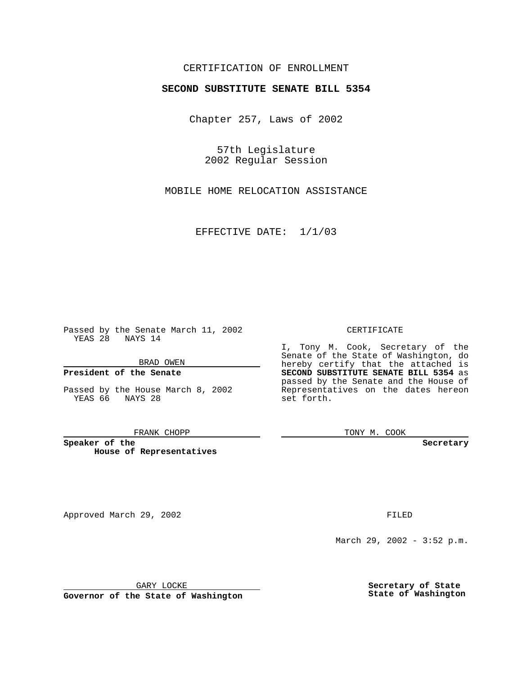## CERTIFICATION OF ENROLLMENT

# **SECOND SUBSTITUTE SENATE BILL 5354**

Chapter 257, Laws of 2002

57th Legislature 2002 Regular Session

MOBILE HOME RELOCATION ASSISTANCE

EFFECTIVE DATE: 1/1/03

Passed by the Senate March 11, 2002 YEAS 28 NAYS 14

BRAD OWEN

### **President of the Senate**

Passed by the House March 8, 2002 YEAS 66 NAYS 28

#### FRANK CHOPP

**Speaker of the House of Representatives**

Approved March 29, 2002 **FILED** 

#### CERTIFICATE

I, Tony M. Cook, Secretary of the Senate of the State of Washington, do hereby certify that the attached is **SECOND SUBSTITUTE SENATE BILL 5354** as passed by the Senate and the House of Representatives on the dates hereon set forth.

TONY M. COOK

**Secretary**

March 29, 2002 - 3:52 p.m.

GARY LOCKE

**Governor of the State of Washington**

**Secretary of State State of Washington**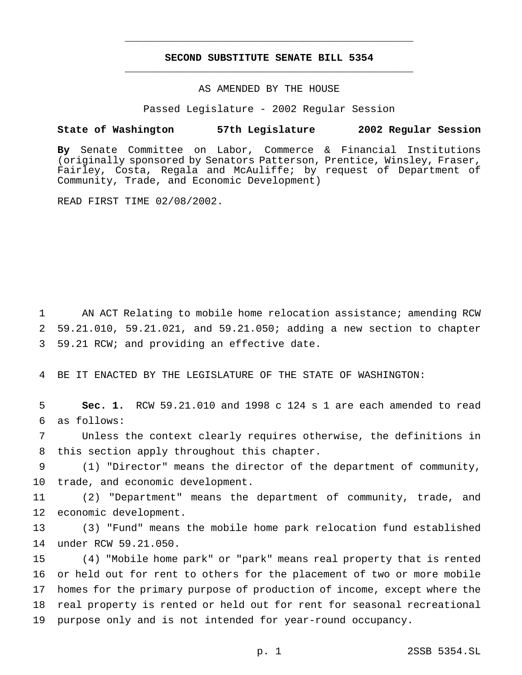## **SECOND SUBSTITUTE SENATE BILL 5354** \_\_\_\_\_\_\_\_\_\_\_\_\_\_\_\_\_\_\_\_\_\_\_\_\_\_\_\_\_\_\_\_\_\_\_\_\_\_\_\_\_\_\_\_\_\_\_

\_\_\_\_\_\_\_\_\_\_\_\_\_\_\_\_\_\_\_\_\_\_\_\_\_\_\_\_\_\_\_\_\_\_\_\_\_\_\_\_\_\_\_\_\_\_\_

### AS AMENDED BY THE HOUSE

Passed Legislature - 2002 Regular Session

### **State of Washington 57th Legislature 2002 Regular Session**

**By** Senate Committee on Labor, Commerce & Financial Institutions (originally sponsored by Senators Patterson, Prentice, Winsley, Fraser, Fairley, Costa, Regala and McAuliffe; by request of Department of Community, Trade, and Economic Development)

READ FIRST TIME 02/08/2002.

 AN ACT Relating to mobile home relocation assistance; amending RCW 59.21.010, 59.21.021, and 59.21.050; adding a new section to chapter 59.21 RCW; and providing an effective date.

BE IT ENACTED BY THE LEGISLATURE OF THE STATE OF WASHINGTON:

 **Sec. 1.** RCW 59.21.010 and 1998 c 124 s 1 are each amended to read as follows:

 Unless the context clearly requires otherwise, the definitions in this section apply throughout this chapter.

 (1) "Director" means the director of the department of community, trade, and economic development.

 (2) "Department" means the department of community, trade, and economic development.

 (3) "Fund" means the mobile home park relocation fund established under RCW 59.21.050.

 (4) "Mobile home park" or "park" means real property that is rented or held out for rent to others for the placement of two or more mobile homes for the primary purpose of production of income, except where the real property is rented or held out for rent for seasonal recreational purpose only and is not intended for year-round occupancy.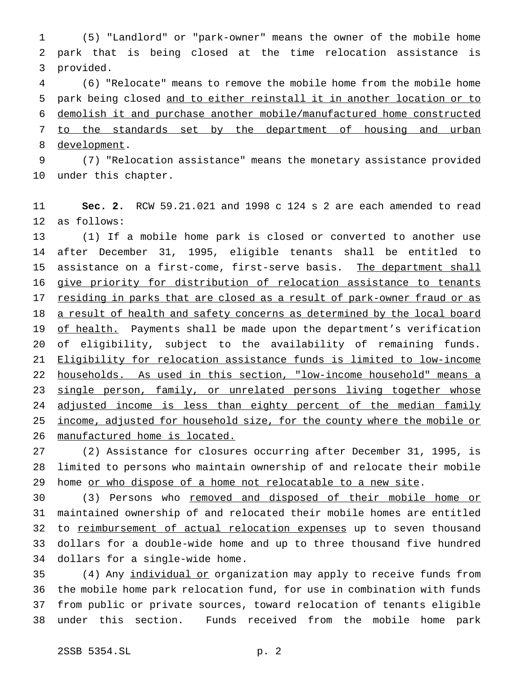(5) "Landlord" or "park-owner" means the owner of the mobile home park that is being closed at the time relocation assistance is provided.

 (6) "Relocate" means to remove the mobile home from the mobile home park being closed and to either reinstall it in another location or to demolish it and purchase another mobile/manufactured home constructed 7 to the standards set by the department of housing and urban development.

 (7) "Relocation assistance" means the monetary assistance provided under this chapter.

 **Sec. 2.** RCW 59.21.021 and 1998 c 124 s 2 are each amended to read as follows:

 (1) If a mobile home park is closed or converted to another use after December 31, 1995, eligible tenants shall be entitled to 15 assistance on a first-come, first-serve basis. The department shall 16 give priority for distribution of relocation assistance to tenants 17 residing in parks that are closed as a result of park-owner fraud or as 18 a result of health and safety concerns as determined by the local board 19 of health. Payments shall be made upon the department's verification of eligibility, subject to the availability of remaining funds. Eligibility for relocation assistance funds is limited to low-income households. As used in this section, "low-income household" means a 23 single person, family, or unrelated persons living together whose 24 adjusted income is less than eighty percent of the median family 25 income, adjusted for household size, for the county where the mobile or manufactured home is located.

 (2) Assistance for closures occurring after December 31, 1995, is limited to persons who maintain ownership of and relocate their mobile 29 home or who dispose of a home not relocatable to a new site.

30 (3) Persons who removed and disposed of their mobile home or maintained ownership of and relocated their mobile homes are entitled 32 to reimbursement of actual relocation expenses up to seven thousand dollars for a double-wide home and up to three thousand five hundred dollars for a single-wide home.

35 (4) Any individual or organization may apply to receive funds from the mobile home park relocation fund, for use in combination with funds from public or private sources, toward relocation of tenants eligible under this section. Funds received from the mobile home park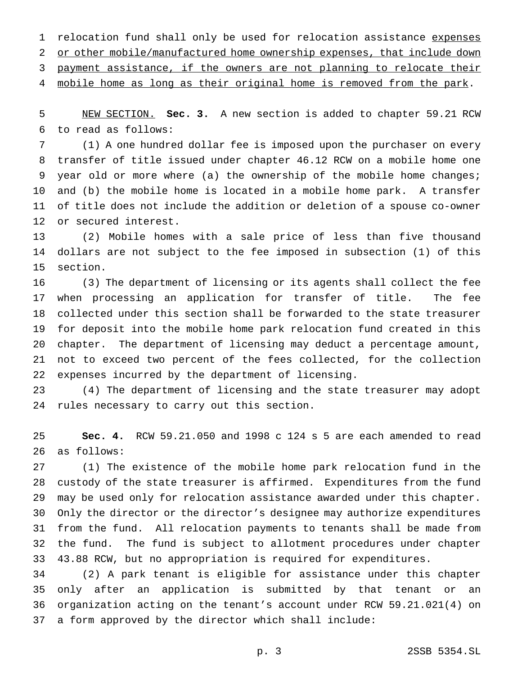1 relocation fund shall only be used for relocation assistance expenses or other mobile/manufactured home ownership expenses, that include down payment assistance, if the owners are not planning to relocate their 4 mobile home as long as their original home is removed from the park.

 NEW SECTION. **Sec. 3.** A new section is added to chapter 59.21 RCW to read as follows:

 (1) A one hundred dollar fee is imposed upon the purchaser on every transfer of title issued under chapter 46.12 RCW on a mobile home one year old or more where (a) the ownership of the mobile home changes; and (b) the mobile home is located in a mobile home park. A transfer of title does not include the addition or deletion of a spouse co-owner or secured interest.

 (2) Mobile homes with a sale price of less than five thousand dollars are not subject to the fee imposed in subsection (1) of this section.

 (3) The department of licensing or its agents shall collect the fee when processing an application for transfer of title. The fee collected under this section shall be forwarded to the state treasurer for deposit into the mobile home park relocation fund created in this chapter. The department of licensing may deduct a percentage amount, not to exceed two percent of the fees collected, for the collection expenses incurred by the department of licensing.

 (4) The department of licensing and the state treasurer may adopt rules necessary to carry out this section.

 **Sec. 4.** RCW 59.21.050 and 1998 c 124 s 5 are each amended to read as follows:

 (1) The existence of the mobile home park relocation fund in the custody of the state treasurer is affirmed. Expenditures from the fund may be used only for relocation assistance awarded under this chapter. Only the director or the director's designee may authorize expenditures from the fund. All relocation payments to tenants shall be made from the fund. The fund is subject to allotment procedures under chapter 43.88 RCW, but no appropriation is required for expenditures.

 (2) A park tenant is eligible for assistance under this chapter only after an application is submitted by that tenant or an organization acting on the tenant's account under RCW 59.21.021(4) on a form approved by the director which shall include: